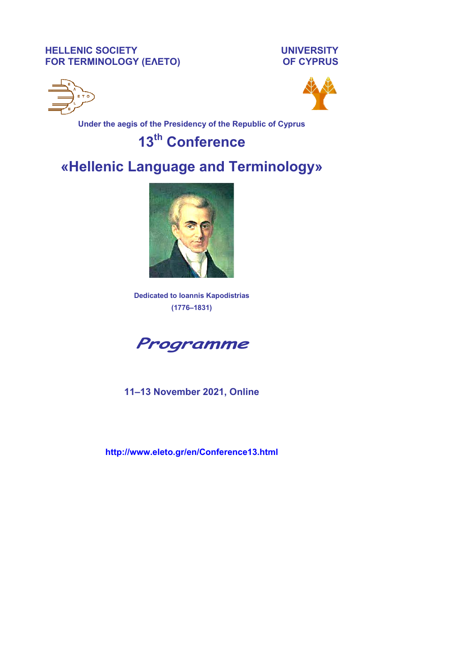**HELLENIC SOCIETY UNIVERSITY FOR TERMINOLOGY (ΕΛΕΤΟ) OF CYPRUS** 





**Under the aegis of the Presidency of the Republic of Cyprus** 

# **13th Conference**

# **«Hellenic Language and Terminology»**



**Dedicated to Ioannis Kapodistrias (1776–1831)** 



**11–13 November 2021, Online** 

**http://www.eleto.gr/en/Conference13.html**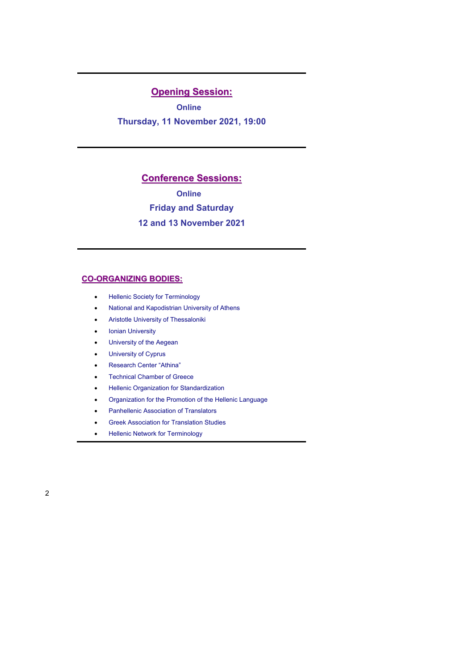# **Opening Session:**

**Online**

**Thursday, 11 November 2021, 19:00** 

### **Conference Sessions:**

**Online**

**Friday and Saturday** 

### **12 and 13 November 2021**

### **CO-ORGANIZING BODIES:**

- Hellenic Society for Terminology
- National and Kapodistrian University of Athens
- Aristotle University of Thessaloniki
- Ionian University
- University of the Aegean
- University of Cyprus
- Research Center "Athina"
- Technical Chamber of Greece
- **•** Hellenic Organization for Standardization
- Organization for the Promotion of the Hellenic Language
- Panhellenic Association of Translators
- **•** Greek Association for Translation Studies
- Hellenic Network for Terminology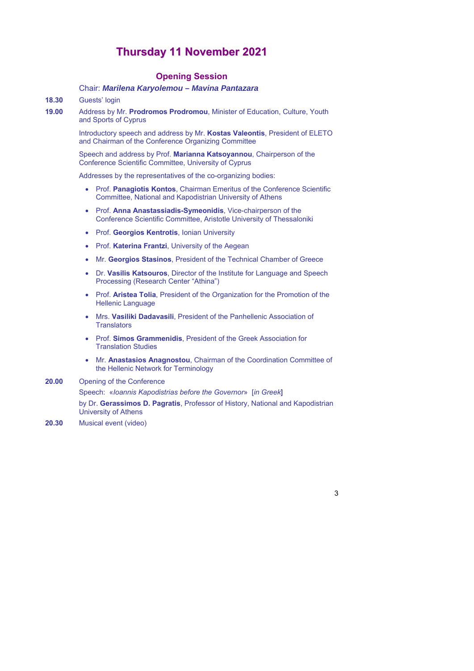# **Thursday 11 November 2021**

### **Opening Session**

### Chair: *Marilena Karyolemou – Mavina Pantazara*

### **18.30** Guests' login

**19.00** Αddress by Mr. **Prodromos Prodromou**, Minister of Education, Culture, Youth and Sports of Cyprus

> Introductory speech and address by Mr. **Kostas Valeontis**, President of ELETO and Chairman of the Conference Organizing Committee

Speech and address by Prof. **Marianna Katsoyannou**, Chairperson of the Conference Scientific Committee, University of Cyprus

Addresses by the representatives of the co-organizing bodies:

- Prof. **Panagiotis Kontos**, Chairman Emeritus of the Conference Scientific Committee, National and Kapodistrian University of Athens
- Prof. **Anna Anastassiadis-Symeonidis**, Vice-chairperson of the Conference Scientific Committee, Aristotle University of Thessaloniki
- Prof. **Georgios Kentrotis**, Ionian University
- **Prof. Katerina Frantzi**, University of the Aegean
- Mr. **Georgios Stasinos**, President of the Technical Chamber of Greece
- Dr. **Vasilis Katsouros**, Director of the Institute for Language and Speech Processing (Research Center "Athina")
- **Prof. Aristea Tolia**, President of the Organization for the Promotion of the Hellenic Language
- Mrs. **Vasiliki Dadavasili**, President of the Panhellenic Association of **Translators**
- Prof. **Simos Grammenidis**, President of the Greek Association for Translation Studies
- Mr. **Anastasios Anagnostou**, Chairman of the Coordination Committee of the Hellenic Network for Terminology

### **20.00** Opening of the Conference

Speech: «*Ioannis Kapodistrias before the Governor*» [*in Greek*]

by Dr. **Gerassimos D. Pagratis**, Professor of History, National and Kapodistrian University of Athens

**20.30** Musical event (video)

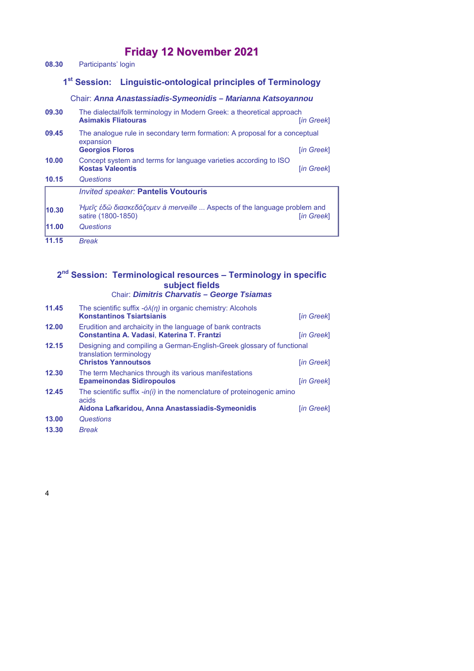# **Friday 12 November 2021**

**08.30** Participants' login

# **1st Session: Linguistic-ontological principles of Terminology**

### Chair: *Anna Anastassiadis-Symeonidis – Marianna Katsoyannou*

| 09.30 | The dialectal/folk terminology in Modern Greek: a theoretical approach<br><b>Asimakis Fliatouras</b>              | <b>Tin Greekl</b>                                                                             |  |
|-------|-------------------------------------------------------------------------------------------------------------------|-----------------------------------------------------------------------------------------------|--|
| 09.45 | The analogue rule in secondary term formation: A proposal for a conceptual<br>expansion<br><b>Georgios Floros</b> | [in Greek]                                                                                    |  |
| 10.00 | Concept system and terms for language varieties according to ISO<br><b>Kostas Valeontis</b>                       | [in Greek]                                                                                    |  |
| 10.15 | Questions                                                                                                         |                                                                                               |  |
|       | <b>Invited speaker: Pantelis Voutouris</b>                                                                        |                                                                                               |  |
| 10.30 | satire (1800-1850)                                                                                                | Hμεῖς ἐδῶ διασκεδάζομεν à merveille  Aspects of the language problem and<br><b>Tin Greekl</b> |  |
| 11.00 | Questions                                                                                                         |                                                                                               |  |
| 11.15 | <b>Break</b>                                                                                                      |                                                                                               |  |

## **2nd Session: Terminological resources – Terminology in specific subject fields**

# Chair: *Dimitris Charvatis – George Tsiamas*

| 11.45 | The scientific suffix $-\delta\lambda(\eta)$ in organic chemistry: Alcohols<br><b>Konstantinos Tsiartsianis</b>                        | [in Greek] |
|-------|----------------------------------------------------------------------------------------------------------------------------------------|------------|
| 12.00 | Erudition and archaicity in the language of bank contracts<br>Constantina A. Vadasi, Katerina T. Frantzi                               | [in Greek] |
| 12.15 | Designing and compiling a German-English-Greek glossary of functional<br>translation terminology<br><b>Christos Yannoutsos</b>         | [in Greek] |
| 12.30 | The term Mechanics through its various manifestations<br><b>Epameinondas Sidiropoulos</b>                                              | [in Greek] |
| 12.45 | The scientific suffix $-in(i)$ in the nomenclature of proteinogenic amino<br>acids<br>Aidona Lafkaridou, Anna Anastassiadis-Symeonidis | [in Greek] |
| 13.00 | Questions                                                                                                                              |            |
| 13.30 | <b>Break</b>                                                                                                                           |            |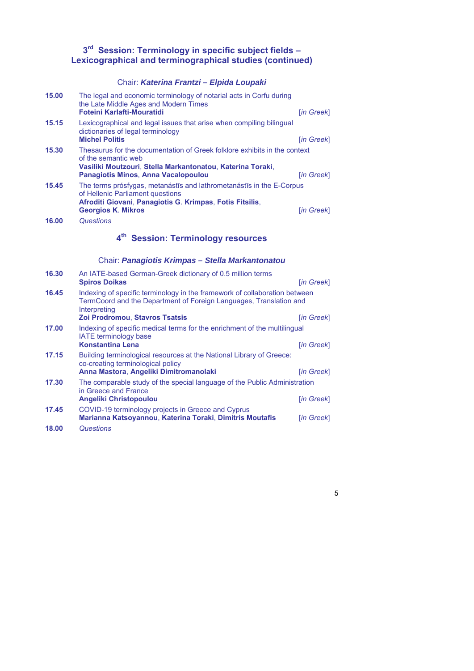### **3rd Session: Terminology in specific subject fields – Lexicographical and terminographical studies (continued)**

## Chair: *Katerina Frantzi – Elpida Loupaki*

| 15.00 | The legal and economic terminology of notarial acts in Corfu during<br>the Late Middle Ages and Modern Times<br>Foteini Karlafti-Mouratidi                                                                   | $[$ in Greek $]$ |  |
|-------|--------------------------------------------------------------------------------------------------------------------------------------------------------------------------------------------------------------|------------------|--|
| 15.15 | Lexicographical and legal issues that arise when compiling bilingual<br>dictionaries of legal terminology<br><b>Michel Politis</b>                                                                           | [in Greek]       |  |
| 15.30 | Thesaurus for the documentation of Greek folklore exhibits in the context<br>of the semantic web<br>Vasiliki Moutzouri, Stella Markantonatou, Katerina Toraki,<br><b>Panagiotis Minos, Anna Vacalopoulou</b> | [in Greek]       |  |
| 15.45 | The terms prósfygas, metanástīs and lathrometanástīs in the E-Corpus<br>of Hellenic Parliament questions<br>Afroditi Giovani, Panagiotis G. Krimpas, Fotis Fitsilis,<br><b>Georgios K. Mikros</b>            | [in Greek]       |  |
| 16.00 | Questions                                                                                                                                                                                                    |                  |  |
|       | 4 <sup>th</sup> Session: Terminology resources                                                                                                                                                               |                  |  |
|       | Chair: Panagiotis Krimpas - Stella Markantonatou                                                                                                                                                             |                  |  |
| 16.30 | An IATE-based German-Greek dictionary of 0.5 million terms<br><b>Spiros Doikas</b>                                                                                                                           | [in Greek]       |  |
| 16.45 | Indexing of specific terminology in the framework of collaboration between<br>TermCoord and the Department of Foreign Languages, Translation and<br>Interpreting                                             |                  |  |
|       | Zoi Prodromou, Stavros Tsatsis                                                                                                                                                                               | [in Greek]       |  |
| 17.00 | Indexing of specific medical terms for the enrichment of the multilingual<br>IATE terminology base                                                                                                           |                  |  |
|       | <b>Konstantina Lena</b>                                                                                                                                                                                      | [in Greek]       |  |
| 17.15 | Building terminological resources at the National Library of Greece:<br>co-creating terminological policy                                                                                                    |                  |  |
|       | Anna Mastora, Angeliki Dimitromanolaki                                                                                                                                                                       | [in Greek]       |  |
| 17.30 | The comparable study of the special language of the Public Administration<br>in Greece and France                                                                                                            |                  |  |
|       | <b>Angeliki Christopoulou</b>                                                                                                                                                                                | [in Greek]       |  |
| 17.45 | COVID-19 terminology projects in Greece and Cyprus<br>Marianna Katsoyannou, Katerina Toraki, Dimitris Moutafis                                                                                               | [in Greek]       |  |

**18.00** *Questions*

5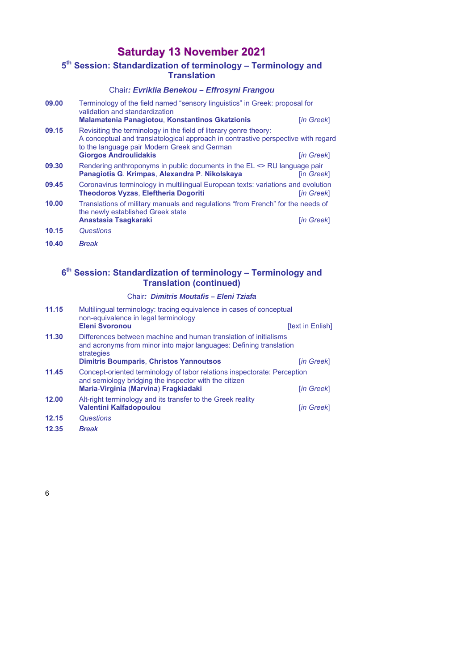# **Saturday 13 November 2021**

# **5th Session: Standardization of terminology – Terminology and Translation**

### Chair*: Evriklia Benekou – Effrosyni Frangou*

| 09.00 | Terminology of the field named "sensory linguistics" in Greek: proposal for<br>validation and standardization<br><b>Malamatenia Panagiotou, Konstantinos Gkatzionis</b>                                                                | [in Greek]        |
|-------|----------------------------------------------------------------------------------------------------------------------------------------------------------------------------------------------------------------------------------------|-------------------|
| 09.15 | Revisiting the terminology in the field of literary genre theory:<br>A conceptual and translatological approach in contrastive perspective with regard<br>to the language pair Modern Greek and German<br><b>Giorgos Androulidakis</b> | [in Greek]        |
| 09.30 | Rendering anthroponyms in public documents in the EL <> RU language pair<br>Panagiotis G. Krimpas, Alexandra P. Nikolskaya                                                                                                             | <b>lin Greekl</b> |
| 09.45 | Coronavirus terminology in multilingual European texts: variations and evolution<br><b>Theodoros Vyzas, Eleftheria Dogoriti</b>                                                                                                        | <u>lin Greekl</u> |
| 10.00 | Translations of military manuals and regulations "from French" for the needs of<br>the newly established Greek state                                                                                                                   |                   |
|       | Anastasia Tsagkaraki                                                                                                                                                                                                                   | [in Greek]        |
| 10.15 | Questions                                                                                                                                                                                                                              |                   |
| 10.40 | <b>Break</b>                                                                                                                                                                                                                           |                   |

### **6th Session: Standardization of terminology – Terminology and Translation (continued)**

### Chair*: Dimitris Moutafis – Eleni Tziafa*

| 11.15 | Multilingual terminology: tracing equivalence in cases of conceptual<br>non-equivalence in legal terminology<br><b>Eleni Svoronou</b>                | [text in Enlish] |
|-------|------------------------------------------------------------------------------------------------------------------------------------------------------|------------------|
|       |                                                                                                                                                      |                  |
| 11.30 | Differences between machine and human translation of initialisms<br>and acronyms from minor into major languages: Defining translation<br>strategies |                  |
|       | <b>Dimitris Boumparis, Christos Yannoutsos</b>                                                                                                       | [in Greek]       |
| 11.45 | Concept-oriented terminology of labor relations inspectorate: Perception<br>and semiology bridging the inspector with the citizen                    |                  |
|       | Maria-Virginia (Marvina) Fragkiadaki                                                                                                                 | [in Greek]       |
| 12.00 | Alt-right terminology and its transfer to the Greek reality                                                                                          |                  |
|       | Valentini Kalfadopoulou                                                                                                                              | [in Greek]       |
| 12.15 | Questions                                                                                                                                            |                  |
| 12.35 | <b>Break</b>                                                                                                                                         |                  |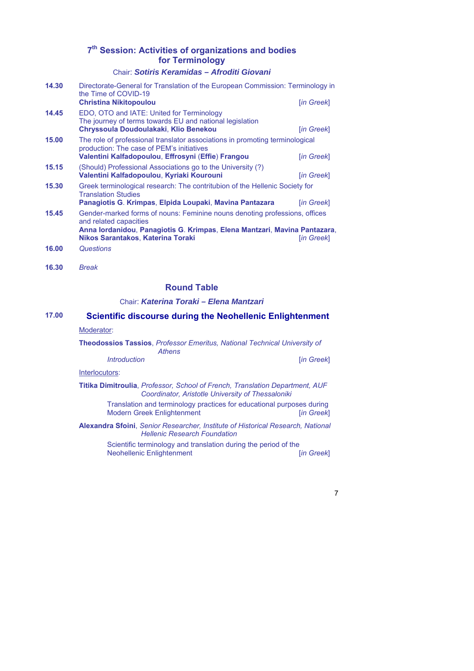## **7th Session: Activities of organizations and bodies for Terminology**

### Chair: *Sotiris Keramidas – Afroditi Giovani*

| 14.30 | Directorate-General for Translation of the European Commission: Terminology in<br>the Time of COVID-19<br><b>Christina Nikitopoulou</b>                                                                                | [in Greek] |
|-------|------------------------------------------------------------------------------------------------------------------------------------------------------------------------------------------------------------------------|------------|
| 14.45 | EDO, OTO and IATE: United for Terminology<br>The journey of terms towards EU and national legislation<br>Chryssoula Doudoulakaki, Klio Benekou                                                                         | [in Greek] |
| 15.00 | The role of professional translator associations in promoting terminological<br>production: The case of PEM's initiatives<br>Valentini Kalfadopoulou, Effrosyni (Effie) Frangou                                        | [in Greek] |
| 15.15 | (Should) Professional Associations go to the University (?)<br>Valentini Kalfadopoulou, Kyriaki Kourouni                                                                                                               | [in Greek] |
| 15.30 | Greek terminological research: The contritubion of the Hellenic Society for<br><b>Translation Studies</b><br>Panagiotis G. Krimpas, Elpida Loupaki, Mavina Pantazara                                                   | [in Greek] |
| 15.45 | Gender-marked forms of nouns: Feminine nouns denoting professions, offices<br>and related capacities<br>Anna lordanidou, Panagiotis G. Krimpas, Elena Mantzari, Mavina Pantazara,<br>Nikos Sarantakos, Katerina Toraki | [in Greek] |
| 16.00 | Questions                                                                                                                                                                                                              |            |

**16.30** *Break* 

### **Round Table**

### Chair: *Katerina Toraki – Elena Mantzari*

### **17.00 Scientific discourse during the Neohellenic Enlightenment**

### Moderator:

#### **Theodossios Tassios**, *Professor Emeritus, National Technical University of Athens*

*Introduction* [*in Greek*]

#### Interlocutors:

### **Titika Dimitroulia**, *Professor, School of French, Translation Department, AUF Coordinator, Aristotle University of Thessaloniki*

Translation and terminology practices for educational purposes during Modern Greek Enlightenment [*in Greek*]

**Alexandra Sfoini**, *Senior Researcher, Institute of Historical Research, National Hellenic Research Foundation*

> Scientific terminology and translation during the period of the<br>Neohellenic Enlightenment [in Greek] Neohellenic Enlightenment [*in Greek*]

> > 7